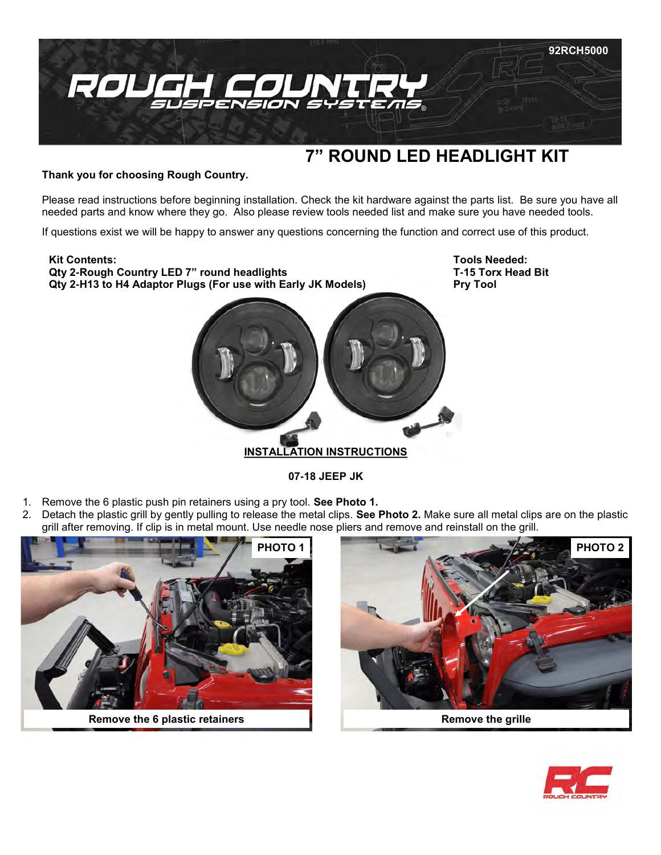

# **7" ROUND LED HEADLIGHT KIT**

**Thank you for choosing Rough Country.**

Please read instructions before beginning installation. Check the kit hardware against the parts list. Be sure you have all needed parts and know where they go. Also please review tools needed list and make sure you have needed tools.

If questions exist we will be happy to answer any questions concerning the function and correct use of this product.

## **Kit Contents:**

**Qty 2-Rough Country LED 7" round headlights Qty 2-H13 to H4 Adaptor Plugs (For use with Early JK Models)** **Tools Needed: T-15 Torx Head Bit Pry Tool**



**INSTALLATION INSTRUCTIONS**

**07-18 JEEP JK** 

- 1. Remove the 6 plastic push pin retainers using a pry tool. **See Photo 1.**
- 2. Detach the plastic grill by gently pulling to release the metal clips. **See Photo 2.** Make sure all metal clips are on the plastic grill after removing. If clip is in metal mount. Use needle nose pliers and remove and reinstall on the grill.



**Remove the 6 plastic retainers Remove the grille Remove the grille** 



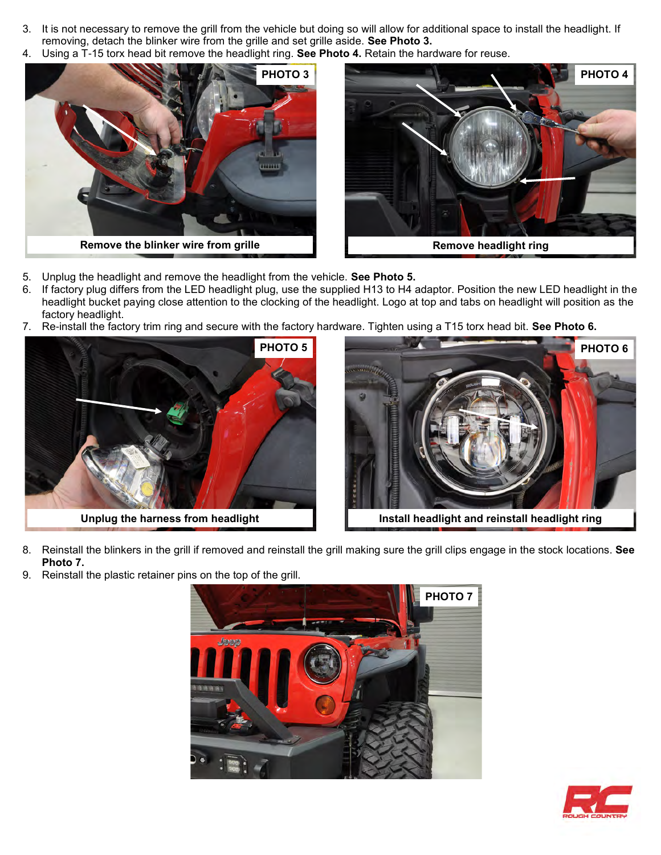- 3. It is not necessary to remove the grill from the vehicle but doing so will allow for additional space to install the headlight. If removing, detach the blinker wire from the grille and set grille aside. **See Photo 3.**
- 4. Using a T-15 torx head bit remove the headlight ring. **See Photo 4.** Retain the hardware for reuse.





- 5. Unplug the headlight and remove the headlight from the vehicle. **See Photo 5.**
- 6. If factory plug differs from the LED headlight plug, use the supplied H13 to H4 adaptor. Position the new LED headlight in the headlight bucket paying close attention to the clocking of the headlight. Logo at top and tabs on headlight will position as the factory headlight.
- 7. Re-install the factory trim ring and secure with the factory hardware. Tighten using a T15 torx head bit. **See Photo 6.**





**Unplug the harness from headlight Install headlight and reinstall headlight ring**

- 8. Reinstall the blinkers in the grill if removed and reinstall the grill making sure the grill clips engage in the stock locations. **See Photo 7.**
- 9. Reinstall the plastic retainer pins on the top of the grill.



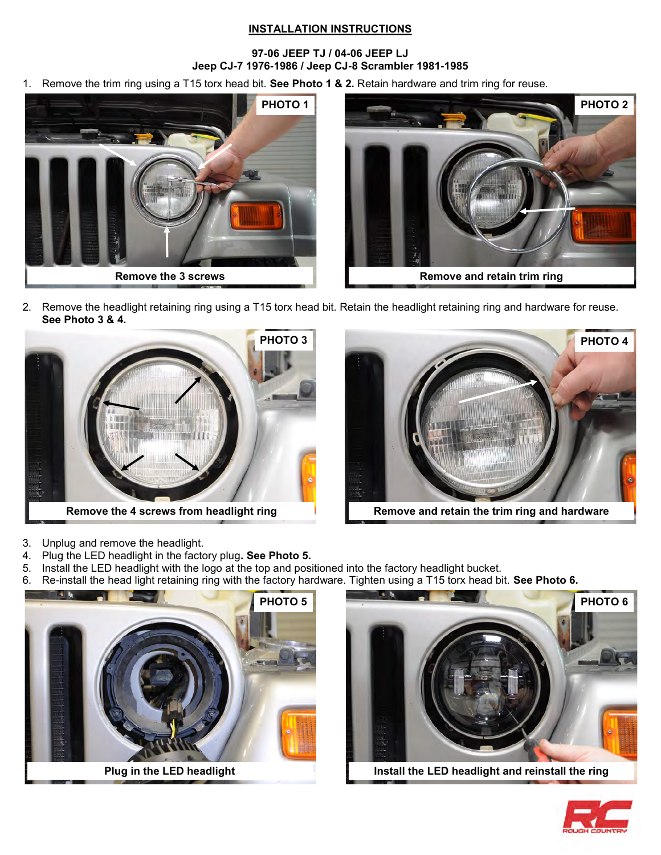### **INSTALLATION INSTRUCTIONS**

### **97-06 JEEP TJ / 04-06 JEEP LJ Jeep CJ-7 1976-1986 / Jeep CJ-8 Scrambler 1981-1985**

1. Remove the trim ring using a T15 torx head bit. **See Photo 1 & 2.** Retain hardware and trim ring for reuse.





2. Remove the headlight retaining ring using a T15 torx head bit. Retain the headlight retaining ring and hardware for reuse. **See Photo 3 & 4.**







- 3. Unplug and remove the headlight.
- 4. Plug the LED headlight in the factory plug**. See Photo 5.**
- 5. Install the LED headlight with the logo at the top and positioned into the factory headlight bucket.
- 6. Re-install the head light retaining ring with the factory hardware. Tighten using a T15 torx head bit. **See Photo 6.**